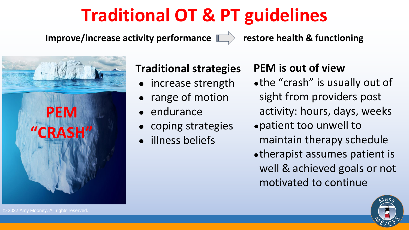## **Traditional OT & PT guidelines**

Improve/increase activity performance **Fig. 2 by Sectore health & functioning** 

## **Traditional strategies**

- increase strength
- range of motion
- endurance
- coping strategies
- illness beliefs

## **PEM is out of view**

- ●the "crash" is usually out of sight from providers post activity: hours, days, weeks
- ●patient too unwell to maintain therapy schedule
- ●therapist assumes patient is well & achieved goals or not motivated to continue